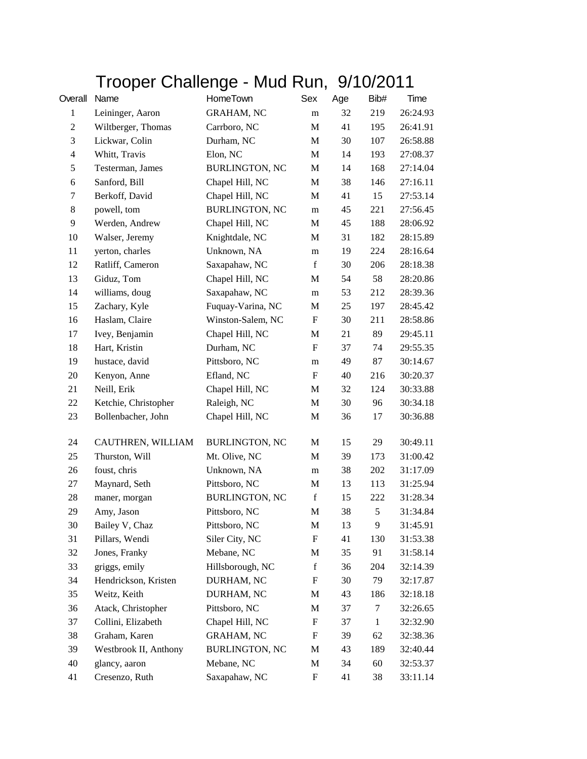## Trooper Challenge - Mud Run, 9/10/2011

| Overall        | Name                  | HomeTown              | Sex         | Age | Bib#         | Time     |
|----------------|-----------------------|-----------------------|-------------|-----|--------------|----------|
| $\mathbf{1}$   | Leininger, Aaron      | <b>GRAHAM, NC</b>     | m           | 32  | 219          | 26:24.93 |
| $\overline{c}$ | Wiltberger, Thomas    | Carrboro, NC          | M           | 41  | 195          | 26:41.91 |
| 3              | Lickwar, Colin        | Durham, NC            | M           | 30  | 107          | 26:58.88 |
| $\overline{4}$ | Whitt, Travis         | Elon, NC              | M           | 14  | 193          | 27:08.37 |
| 5              | Testerman, James      | <b>BURLINGTON, NC</b> | M           | 14  | 168          | 27:14.04 |
| 6              | Sanford, Bill         | Chapel Hill, NC       | M           | 38  | 146          | 27:16.11 |
| 7              | Berkoff, David        | Chapel Hill, NC       | M           | 41  | 15           | 27:53.14 |
| 8              | powell, tom           | <b>BURLINGTON, NC</b> | m           | 45  | 221          | 27:56.45 |
| $\mathbf{9}$   | Werden, Andrew        | Chapel Hill, NC       | M           | 45  | 188          | 28:06.92 |
| 10             | Walser, Jeremy        | Knightdale, NC        | M           | 31  | 182          | 28:15.89 |
| 11             | yerton, charles       | Unknown, NA           | m           | 19  | 224          | 28:16.64 |
| 12             | Ratliff, Cameron      | Saxapahaw, NC         | $\mathbf f$ | 30  | 206          | 28:18.38 |
| 13             | Giduz, Tom            | Chapel Hill, NC       | M           | 54  | 58           | 28:20.86 |
| 14             | williams, doug        | Saxapahaw, NC         | m           | 53  | 212          | 28:39.36 |
| 15             | Zachary, Kyle         | Fuquay-Varina, NC     | M           | 25  | 197          | 28:45.42 |
| 16             | Haslam, Claire        | Winston-Salem, NC     | F           | 30  | 211          | 28:58.86 |
| 17             | Ivey, Benjamin        | Chapel Hill, NC       | M           | 21  | 89           | 29:45.11 |
| 18             | Hart, Kristin         | Durham, NC            | F           | 37  | 74           | 29:55.35 |
| 19             | hustace, david        | Pittsboro, NC         | m           | 49  | 87           | 30:14.67 |
| 20             | Kenyon, Anne          | Efland, NC            | F           | 40  | 216          | 30:20.37 |
| 21             | Neill, Erik           | Chapel Hill, NC       | M           | 32  | 124          | 30:33.88 |
| 22             | Ketchie, Christopher  | Raleigh, NC           | M           | 30  | 96           | 30:34.18 |
| 23             | Bollenbacher, John    | Chapel Hill, NC       | M           | 36  | 17           | 30:36.88 |
| 24             | CAUTHREN, WILLIAM     | <b>BURLINGTON, NC</b> | M           | 15  | 29           | 30:49.11 |
| 25             | Thurston, Will        | Mt. Olive, NC         | M           | 39  | 173          | 31:00.42 |
| 26             | foust, chris          | Unknown, NA           | m           | 38  | 202          | 31:17.09 |
| 27             | Maynard, Seth         | Pittsboro, NC         | M           | 13  | 113          | 31:25.94 |
| 28             | maner, morgan         | <b>BURLINGTON, NC</b> | $\mathbf f$ | 15  | 222          | 31:28.34 |
| 29             | Amy, Jason            | Pittsboro, NC         | M           | 38  | 5            | 31:34.84 |
| 30             | Bailey V, Chaz        | Pittsboro, NC         | M           | 13  | 9.           | 31:45.91 |
| 31             | Pillars, Wendi        | Siler City, NC        | F           | 41  | 130          | 31:53.38 |
| 32             | Jones, Franky         | Mebane, NC            | M           | 35  | 91           | 31:58.14 |
| 33             | griggs, emily         | Hillsborough, NC      | $\mathbf f$ | 36  | 204          | 32:14.39 |
| 34             | Hendrickson, Kristen  | DURHAM, NC            | F           | 30  | 79           | 32:17.87 |
| 35             | Weitz, Keith          | DURHAM, NC            | M           | 43  | 186          | 32:18.18 |
| 36             | Atack, Christopher    | Pittsboro, NC         | M           | 37  | 7            | 32:26.65 |
| 37             | Collini, Elizabeth    | Chapel Hill, NC       | F           | 37  | $\mathbf{1}$ | 32:32.90 |
| 38             | Graham, Karen         | <b>GRAHAM, NC</b>     | F           | 39  | 62           | 32:38.36 |
| 39             | Westbrook II, Anthony | <b>BURLINGTON, NC</b> | M           | 43  | 189          | 32:40.44 |
| 40             | glancy, aaron         | Mebane, NC            | M           | 34  | 60           | 32:53.37 |
| 41             | Cresenzo, Ruth        | Saxapahaw, NC         | F           | 41  | 38           | 33:11.14 |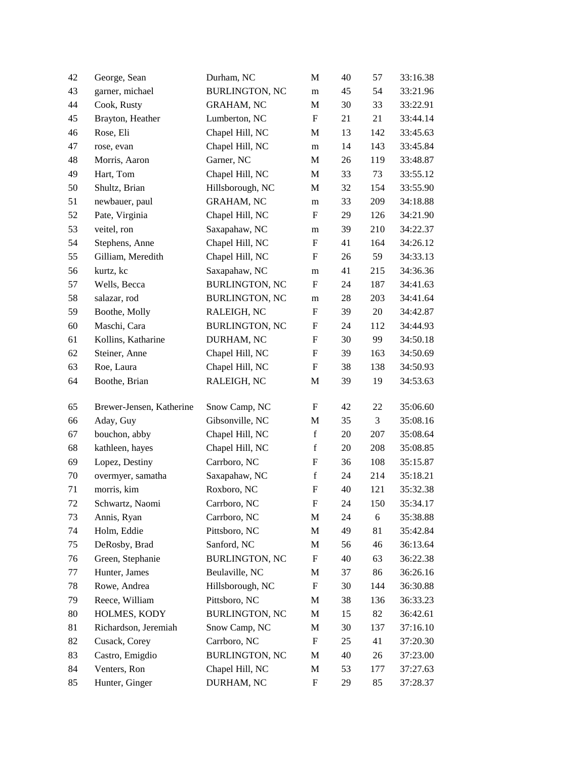| 42 | George, Sean             | Durham, NC            | $\mathbf{M}$              | 40 | 57  | 33:16.38 |
|----|--------------------------|-----------------------|---------------------------|----|-----|----------|
| 43 | garner, michael          | <b>BURLINGTON, NC</b> | m                         | 45 | 54  | 33:21.96 |
| 44 | Cook, Rusty              | <b>GRAHAM, NC</b>     | M                         | 30 | 33  | 33:22.91 |
| 45 | Brayton, Heather         | Lumberton, NC         | $\boldsymbol{\mathrm{F}}$ | 21 | 21  | 33:44.14 |
| 46 | Rose, Eli                | Chapel Hill, NC       | M                         | 13 | 142 | 33:45.63 |
| 47 | rose, evan               | Chapel Hill, NC       | m                         | 14 | 143 | 33:45.84 |
| 48 | Morris, Aaron            | Garner, NC            | M                         | 26 | 119 | 33:48.87 |
| 49 | Hart, Tom                | Chapel Hill, NC       | M                         | 33 | 73  | 33:55.12 |
| 50 | Shultz, Brian            | Hillsborough, NC      | M                         | 32 | 154 | 33:55.90 |
| 51 | newbauer, paul           | <b>GRAHAM, NC</b>     | m                         | 33 | 209 | 34:18.88 |
| 52 | Pate, Virginia           | Chapel Hill, NC       | $\boldsymbol{\mathrm{F}}$ | 29 | 126 | 34:21.90 |
| 53 | veitel, ron              | Saxapahaw, NC         | m                         | 39 | 210 | 34:22.37 |
| 54 | Stephens, Anne           | Chapel Hill, NC       | F                         | 41 | 164 | 34:26.12 |
| 55 | Gilliam, Meredith        | Chapel Hill, NC       | F                         | 26 | 59  | 34:33.13 |
| 56 | kurtz, kc                | Saxapahaw, NC         | m                         | 41 | 215 | 34:36.36 |
| 57 | Wells, Becca             | <b>BURLINGTON, NC</b> | F                         | 24 | 187 | 34:41.63 |
| 58 | salazar, rod             | <b>BURLINGTON, NC</b> | m                         | 28 | 203 | 34:41.64 |
| 59 | Boothe, Molly            | RALEIGH, NC           | F                         | 39 | 20  | 34:42.87 |
| 60 | Maschi, Cara             | <b>BURLINGTON, NC</b> | $\mathbf F$               | 24 | 112 | 34:44.93 |
| 61 | Kollins, Katharine       | DURHAM, NC            | $\boldsymbol{\mathrm{F}}$ | 30 | 99  | 34:50.18 |
| 62 | Steiner, Anne            | Chapel Hill, NC       | $\boldsymbol{\mathrm{F}}$ | 39 | 163 | 34:50.69 |
| 63 | Roe, Laura               | Chapel Hill, NC       | $\boldsymbol{\mathrm{F}}$ | 38 | 138 | 34:50.93 |
| 64 | Boothe, Brian            | RALEIGH, NC           | M                         | 39 | 19  | 34:53.63 |
| 65 | Brewer-Jensen, Katherine | Snow Camp, NC         | F                         | 42 | 22  | 35:06.60 |
| 66 | Aday, Guy                | Gibsonville, NC       | M                         | 35 | 3   | 35:08.16 |
| 67 | bouchon, abby            | Chapel Hill, NC       | $\mathbf f$               | 20 | 207 | 35:08.64 |
| 68 | kathleen, hayes          | Chapel Hill, NC       | $\mathbf f$               | 20 | 208 | 35:08.85 |
| 69 | Lopez, Destiny           | Carrboro, NC          | F                         | 36 | 108 | 35:15.87 |
| 70 | overmyer, samatha        | Saxapahaw, NC         | $\mathbf f$               | 24 | 214 | 35:18.21 |
| 71 | morris, kim              | Roxboro, NC           | $\boldsymbol{\mathrm{F}}$ | 40 | 121 | 35:32.38 |
| 72 | Schwartz, Naomi          | Carrboro, NC          | F                         | 24 | 150 | 35:34.17 |
| 73 | Annis, Ryan              | Carrboro, NC          | M                         | 24 | 6   | 35:38.88 |
| 74 | Holm, Eddie              | Pittsboro, NC         | M                         | 49 | 81  | 35:42.84 |
| 75 | DeRosby, Brad            | Sanford, NC           | M                         | 56 | 46  | 36:13.64 |
| 76 | Green, Stephanie         | <b>BURLINGTON, NC</b> | $\boldsymbol{\mathrm{F}}$ | 40 | 63  | 36:22.38 |
| 77 | Hunter, James            | Beulaville, NC        | M                         | 37 | 86  | 36:26.16 |
| 78 | Rowe, Andrea             | Hillsborough, NC      | $\boldsymbol{F}$          | 30 | 144 | 36:30.88 |
| 79 | Reece, William           | Pittsboro, NC         | M                         | 38 | 136 | 36:33.23 |
| 80 | HOLMES, KODY             | <b>BURLINGTON, NC</b> | M                         | 15 | 82  | 36:42.61 |
| 81 | Richardson, Jeremiah     | Snow Camp, NC         | M                         | 30 | 137 | 37:16.10 |
| 82 | Cusack, Corey            | Carrboro, NC          | $\boldsymbol{\mathrm{F}}$ | 25 | 41  | 37:20.30 |
| 83 | Castro, Emigdio          | <b>BURLINGTON, NC</b> | M                         | 40 | 26  | 37:23.00 |
| 84 | Venters, Ron             | Chapel Hill, NC       | M                         | 53 | 177 | 37:27.63 |
| 85 | Hunter, Ginger           | DURHAM, NC            | $\boldsymbol{F}$          | 29 | 85  | 37:28.37 |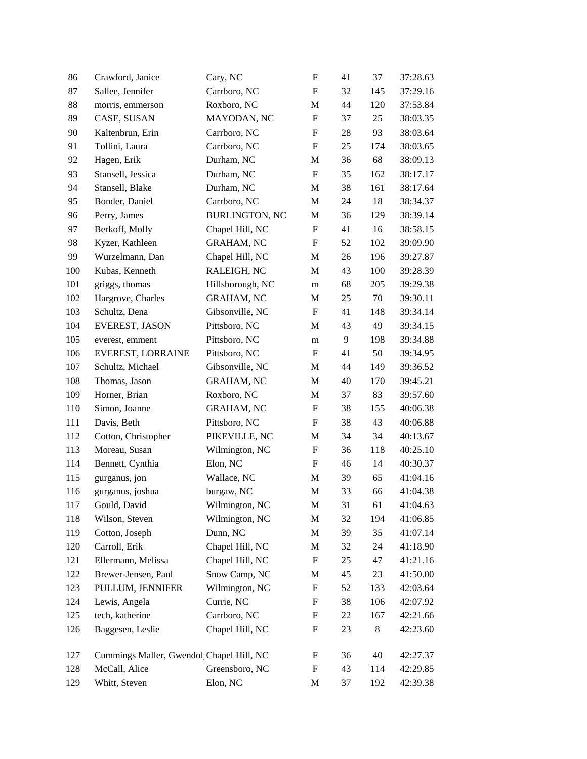| 86  | Crawford, Janice                         | Cary, NC              | $\boldsymbol{\mathrm{F}}$ | 41 | 37  | 37:28.63 |
|-----|------------------------------------------|-----------------------|---------------------------|----|-----|----------|
| 87  | Sallee, Jennifer                         | Carrboro, NC          | $\boldsymbol{\mathrm{F}}$ | 32 | 145 | 37:29.16 |
| 88  | morris, emmerson                         | Roxboro, NC           | M                         | 44 | 120 | 37:53.84 |
| 89  | CASE, SUSAN                              | MAYODAN, NC           | $\boldsymbol{\mathrm{F}}$ | 37 | 25  | 38:03.35 |
| 90  | Kaltenbrun, Erin                         | Carrboro, NC          | $\boldsymbol{\mathrm{F}}$ | 28 | 93  | 38:03.64 |
| 91  | Tollini, Laura                           | Carrboro, NC          | $\boldsymbol{\mathrm{F}}$ | 25 | 174 | 38:03.65 |
| 92  | Hagen, Erik                              | Durham, NC            | M                         | 36 | 68  | 38:09.13 |
| 93  | Stansell, Jessica                        | Durham, NC            | $\boldsymbol{\mathrm{F}}$ | 35 | 162 | 38:17.17 |
| 94  | Stansell, Blake                          | Durham, NC            | M                         | 38 | 161 | 38:17.64 |
| 95  | Bonder, Daniel                           | Carrboro, NC          | M                         | 24 | 18  | 38:34.37 |
| 96  | Perry, James                             | <b>BURLINGTON, NC</b> | M                         | 36 | 129 | 38:39.14 |
| 97  | Berkoff, Molly                           | Chapel Hill, NC       | F                         | 41 | 16  | 38:58.15 |
| 98  | Kyzer, Kathleen                          | <b>GRAHAM, NC</b>     | F                         | 52 | 102 | 39:09.90 |
| 99  | Wurzelmann, Dan                          | Chapel Hill, NC       | M                         | 26 | 196 | 39:27.87 |
| 100 | Kubas, Kenneth                           | RALEIGH, NC           | M                         | 43 | 100 | 39:28.39 |
| 101 | griggs, thomas                           | Hillsborough, NC      | m                         | 68 | 205 | 39:29.38 |
| 102 | Hargrove, Charles                        | <b>GRAHAM, NC</b>     | M                         | 25 | 70  | 39:30.11 |
| 103 | Schultz, Dena                            | Gibsonville, NC       | $\boldsymbol{\mathrm{F}}$ | 41 | 148 | 39:34.14 |
| 104 | EVEREST, JASON                           | Pittsboro, NC         | M                         | 43 | 49  | 39:34.15 |
| 105 | everest, emment                          | Pittsboro, NC         | m                         | 9  | 198 | 39:34.88 |
| 106 | EVEREST, LORRAINE                        | Pittsboro, NC         | F                         | 41 | 50  | 39:34.95 |
| 107 | Schultz, Michael                         | Gibsonville, NC       | M                         | 44 | 149 | 39:36.52 |
| 108 | Thomas, Jason                            | <b>GRAHAM, NC</b>     | M                         | 40 | 170 | 39:45.21 |
| 109 | Horner, Brian                            | Roxboro, NC           | M                         | 37 | 83  | 39:57.60 |
| 110 | Simon, Joanne                            | <b>GRAHAM, NC</b>     | ${\bf F}$                 | 38 | 155 | 40:06.38 |
| 111 | Davis, Beth                              | Pittsboro, NC         | ${\bf F}$                 | 38 | 43  | 40:06.88 |
| 112 | Cotton, Christopher                      | PIKEVILLE, NC         | M                         | 34 | 34  | 40:13.67 |
| 113 | Moreau, Susan                            | Wilmington, NC        | $\boldsymbol{F}$          | 36 | 118 | 40:25.10 |
| 114 | Bennett, Cynthia                         | Elon, NC              | $\mathbf F$               | 46 | 14  | 40:30.37 |
| 115 | gurganus, jon                            | Wallace, NC           | M                         | 39 | 65  | 41:04.16 |
| 116 | gurganus, joshua                         | burgaw, NC            | M                         | 33 | 66  | 41:04.38 |
| 117 | Gould, David                             | Wilmington, NC        | M                         | 31 | 61  | 41:04.63 |
| 118 | Wilson, Steven                           | Wilmington, NC        | M                         | 32 | 194 | 41:06.85 |
| 119 | Cotton, Joseph                           | Dunn, NC              | M                         | 39 | 35  | 41:07.14 |
| 120 | Carroll, Erik                            | Chapel Hill, NC       | M                         | 32 | 24  | 41:18.90 |
| 121 | Ellermann, Melissa                       | Chapel Hill, NC       | $\boldsymbol{\mathrm{F}}$ | 25 | 47  | 41:21.16 |
| 122 | Brewer-Jensen, Paul                      | Snow Camp, NC         | M                         | 45 | 23  | 41:50.00 |
| 123 | PULLUM, JENNIFER                         | Wilmington, NC        | $\boldsymbol{F}$          | 52 | 133 | 42:03.64 |
| 124 | Lewis, Angela                            | Currie, NC            | $\mathbf F$               | 38 | 106 | 42:07.92 |
| 125 | tech, katherine                          | Carrboro, NC          | $\mathbf F$               | 22 | 167 | 42:21.66 |
| 126 | Baggesen, Leslie                         | Chapel Hill, NC       | $\mathbf F$               | 23 | 8   | 42:23.60 |
| 127 | Cummings Maller, Gwendol Chapel Hill, NC |                       | F                         | 36 | 40  | 42:27.37 |
| 128 | McCall, Alice                            | Greensboro, NC        | F                         | 43 | 114 | 42:29.85 |
| 129 | Whitt, Steven                            | Elon, NC              | M                         | 37 | 192 | 42:39.38 |
|     |                                          |                       |                           |    |     |          |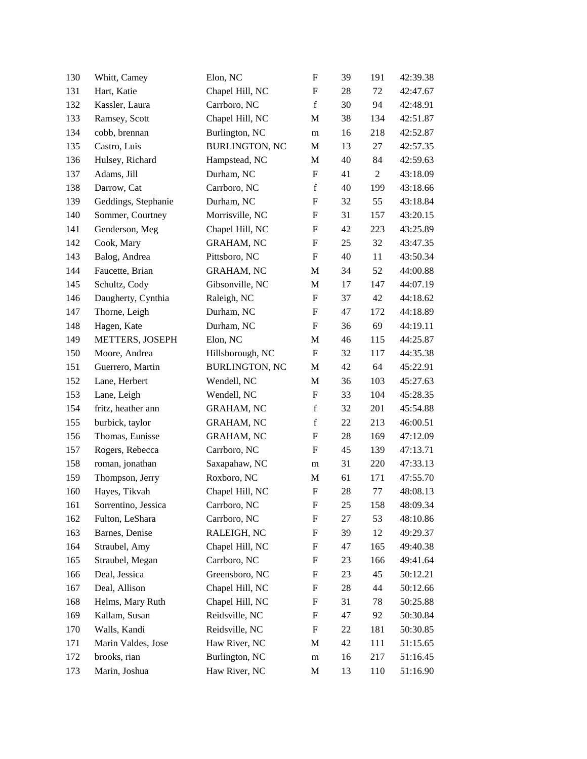| 130 | Whitt, Camey        | Elon, NC              | $\boldsymbol{\mathrm{F}}$ | 39 | 191            | 42:39.38 |
|-----|---------------------|-----------------------|---------------------------|----|----------------|----------|
| 131 | Hart, Katie         | Chapel Hill, NC       | $\boldsymbol{\mathrm{F}}$ | 28 | 72             | 42:47.67 |
| 132 | Kassler, Laura      | Carrboro, NC          | $\mathbf f$               | 30 | 94             | 42:48.91 |
| 133 | Ramsey, Scott       | Chapel Hill, NC       | M                         | 38 | 134            | 42:51.87 |
| 134 | cobb, brennan       | Burlington, NC        | m                         | 16 | 218            | 42:52.87 |
| 135 | Castro, Luis        | <b>BURLINGTON, NC</b> | M                         | 13 | 27             | 42:57.35 |
| 136 | Hulsey, Richard     | Hampstead, NC         | M                         | 40 | 84             | 42:59.63 |
| 137 | Adams, Jill         | Durham, NC            | $\boldsymbol{\mathrm{F}}$ | 41 | $\overline{2}$ | 43:18.09 |
| 138 | Darrow, Cat         | Carrboro, NC          | $\mathbf f$               | 40 | 199            | 43:18.66 |
| 139 | Geddings, Stephanie | Durham, NC            | $\boldsymbol{\mathrm{F}}$ | 32 | 55             | 43:18.84 |
| 140 | Sommer, Courtney    | Morrisville, NC       | $\boldsymbol{\mathrm{F}}$ | 31 | 157            | 43:20.15 |
| 141 | Genderson, Meg      | Chapel Hill, NC       | F                         | 42 | 223            | 43:25.89 |
| 142 | Cook, Mary          | <b>GRAHAM, NC</b>     | F                         | 25 | 32             | 43:47.35 |
| 143 | Balog, Andrea       | Pittsboro, NC         | F                         | 40 | 11             | 43:50.34 |
| 144 | Faucette, Brian     | <b>GRAHAM, NC</b>     | M                         | 34 | 52             | 44:00.88 |
| 145 | Schultz, Cody       | Gibsonville, NC       | M                         | 17 | 147            | 44:07.19 |
| 146 | Daugherty, Cynthia  | Raleigh, NC           | $\mathbf F$               | 37 | 42             | 44:18.62 |
| 147 | Thorne, Leigh       | Durham, NC            | F                         | 47 | 172            | 44:18.89 |
| 148 | Hagen, Kate         | Durham, NC            | F                         | 36 | 69             | 44:19.11 |
| 149 | METTERS, JOSEPH     | Elon, NC              | M                         | 46 | 115            | 44:25.87 |
| 150 | Moore, Andrea       | Hillsborough, NC      | $\boldsymbol{\mathrm{F}}$ | 32 | 117            | 44:35.38 |
| 151 | Guerrero, Martin    | <b>BURLINGTON, NC</b> | M                         | 42 | 64             | 45:22.91 |
| 152 | Lane, Herbert       | Wendell, NC           | M                         | 36 | 103            | 45:27.63 |
| 153 | Lane, Leigh         | Wendell, NC           | $\boldsymbol{\mathrm{F}}$ | 33 | 104            | 45:28.35 |
| 154 | fritz, heather ann  | <b>GRAHAM, NC</b>     | $\mathbf f$               | 32 | 201            | 45:54.88 |
| 155 | burbick, taylor     | <b>GRAHAM, NC</b>     | $\mathbf f$               | 22 | 213            | 46:00.51 |
| 156 | Thomas, Eunisse     | <b>GRAHAM, NC</b>     | F                         | 28 | 169            | 47:12.09 |
| 157 | Rogers, Rebecca     | Carrboro, NC          | F                         | 45 | 139            | 47:13.71 |
| 158 | roman, jonathan     | Saxapahaw, NC         | m                         | 31 | 220            | 47:33.13 |
| 159 | Thompson, Jerry     | Roxboro, NC           | M                         | 61 | 171            | 47:55.70 |
| 160 | Hayes, Tikvah       | Chapel Hill, NC       | $\boldsymbol{\mathrm{F}}$ | 28 | 77             | 48:08.13 |
| 161 | Sorrentino, Jessica | Carrboro, NC          | F                         | 25 | 158            | 48:09.34 |
| 162 | Fulton, LeShara     | Carrboro, NC          | F                         | 27 | 53             | 48:10.86 |
| 163 | Barnes, Denise      | RALEIGH, NC           | F                         | 39 | 12             | 49:29.37 |
| 164 | Straubel, Amy       | Chapel Hill, NC       | F                         | 47 | 165            | 49:40.38 |
| 165 | Straubel, Megan     | Carrboro, NC          | F                         | 23 | 166            | 49:41.64 |
| 166 | Deal, Jessica       | Greensboro, NC        | F                         | 23 | 45             | 50:12.21 |
| 167 | Deal, Allison       | Chapel Hill, NC       | F                         | 28 | 44             | 50:12.66 |
| 168 | Helms, Mary Ruth    | Chapel Hill, NC       | F                         | 31 | 78             | 50:25.88 |
| 169 | Kallam, Susan       | Reidsville, NC        | F                         | 47 | 92             | 50:30.84 |
| 170 | Walls, Kandi        | Reidsville, NC        | F                         | 22 | 181            | 50:30.85 |
| 171 | Marin Valdes, Jose  | Haw River, NC         | M                         | 42 | 111            | 51:15.65 |
| 172 | brooks, rian        | Burlington, NC        | m                         | 16 | 217            | 51:16.45 |
| 173 | Marin, Joshua       | Haw River, NC         | M                         | 13 | 110            | 51:16.90 |